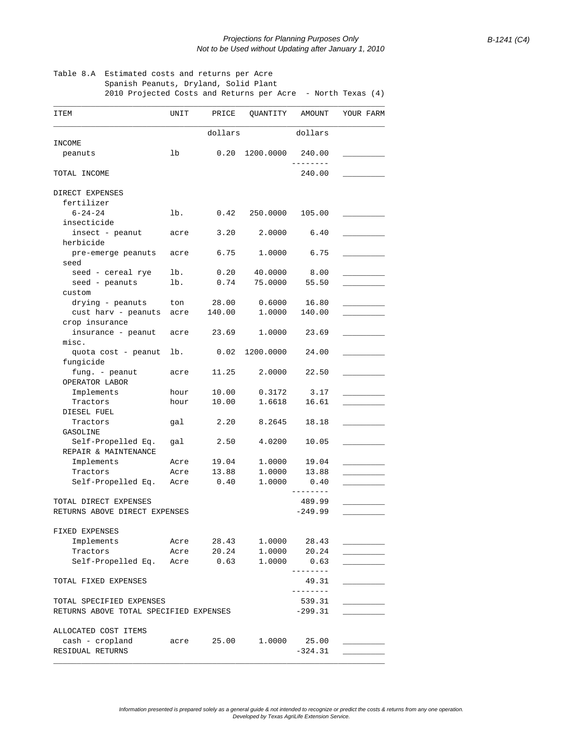## Table 8.A Estimated costs and returns per Acre Spanish Peanuts, Dryland, Solid Plant

2010 Projected Costs and Returns per Acre - North Texas (4)

| <b>ITEM</b>                            | UNIT | PRICE      | QUANTITY           | AMOUNT                          |                                   | YOUR FARM |
|----------------------------------------|------|------------|--------------------|---------------------------------|-----------------------------------|-----------|
|                                        |      | dollars    |                    | dollars                         |                                   |           |
| INCOME                                 |      |            |                    |                                 |                                   |           |
| peanuts                                | 1b   |            | $0.20$ $1200.0000$ | 240.00                          |                                   |           |
| TOTAL INCOME                           |      |            |                    | 240.00                          |                                   |           |
| DIRECT EXPENSES                        |      |            |                    |                                 |                                   |           |
| fertilizer                             |      |            |                    |                                 |                                   |           |
| $6 - 24 - 24$                          | lb.  | 0.42       | 250.0000           | 105.00                          |                                   |           |
| insecticide                            |      |            |                    |                                 |                                   |           |
| insect - peanut<br>herbicide           | acre | 3.20       | 2,0000             | 6.40                            |                                   |           |
| pre-emerge peanuts                     | acre | 6.75       | 1,0000             | 6.75                            |                                   |           |
| seed                                   |      |            |                    |                                 |                                   |           |
| seed - cereal rye                      | lb.  | 0.20       | 40.0000            | 8.00                            |                                   |           |
| seed - peanuts                         | lb.  | 0.74       | 75.0000            | 55.50                           |                                   |           |
| custom                                 |      |            |                    |                                 |                                   |           |
| drying - peanuts                       | ton  | 28.00      | 0.6000             | 16.80                           |                                   |           |
| cust harv - peanuts acre               |      | 140.00     | 1,0000             | 140.00                          |                                   |           |
| crop insurance                         |      |            |                    |                                 |                                   |           |
| insurance – peanut                     | acre | 23.69      | 1,0000             | 23.69                           |                                   |           |
| misc.                                  |      |            |                    |                                 |                                   |           |
| quota cost - peanut<br>fungicide       | lb.  |            | $0.02$ 1200.0000   | 24.00                           |                                   |           |
| $fung. - peanut$                       | acre | 11.25      | 2,0000             | 22.50                           |                                   |           |
| OPERATOR LABOR<br>Implements           | hour | 10.00      | 0.3172             | 3.17                            |                                   |           |
| Tractors                               | hour | 10.00      | 1.6618             | 16.61                           |                                   |           |
| DIESEL FUEL                            |      |            |                    |                                 |                                   |           |
| Tractors                               | gal  | 2.20       | 8.2645             | 18.18                           |                                   |           |
| GASOLINE                               |      |            |                    |                                 |                                   |           |
| Self-Propelled Eq.                     | gal  | 2.50       | 4.0200             | 10.05                           |                                   |           |
| REPAIR & MAINTENANCE                   |      |            |                    |                                 |                                   |           |
| Implements                             | Acre | 19.04      | 1.0000             | 19.04                           |                                   |           |
| Tractors                               | Acre | 13.88      | 1.0000             | 13.88                           |                                   |           |
| Self-Propelled Eq.                     | Acre | 0.40       | 1,0000             | 0.40                            |                                   |           |
|                                        |      |            |                    |                                 |                                   |           |
| TOTAL DIRECT EXPENSES                  |      |            |                    | 489.99                          |                                   |           |
| RETURNS ABOVE DIRECT EXPENSES          |      |            |                    | $-249.99$                       |                                   |           |
| FIXED EXPENSES                         |      |            |                    |                                 |                                   |           |
| Implements                             | Acre | 28.43      | 1.0000             | 28.43                           |                                   |           |
| Tractors                               | Acre | 20.24      | 1.0000             | 20.24                           |                                   |           |
| Self-Propelled Eq. Acre 0.63           |      |            | 1.0000             | 0.63                            |                                   |           |
| TOTAL FIXED EXPENSES                   |      |            |                    | ---------<br>49.31<br>--------- |                                   |           |
| TOTAL SPECIFIED EXPENSES               |      |            |                    | 539.31                          |                                   |           |
| RETURNS ABOVE TOTAL SPECIFIED EXPENSES |      |            |                    | $-299.31$                       |                                   |           |
|                                        |      |            |                    |                                 |                                   |           |
| ALLOCATED COST ITEMS                   |      |            |                    |                                 |                                   |           |
| cash - cropland                        |      | acre 25.00 |                    | 1.0000 25.00                    |                                   |           |
| RESIDUAL RETURNS                       |      |            |                    | $-324.31$                       | <u>and the state of the state</u> |           |